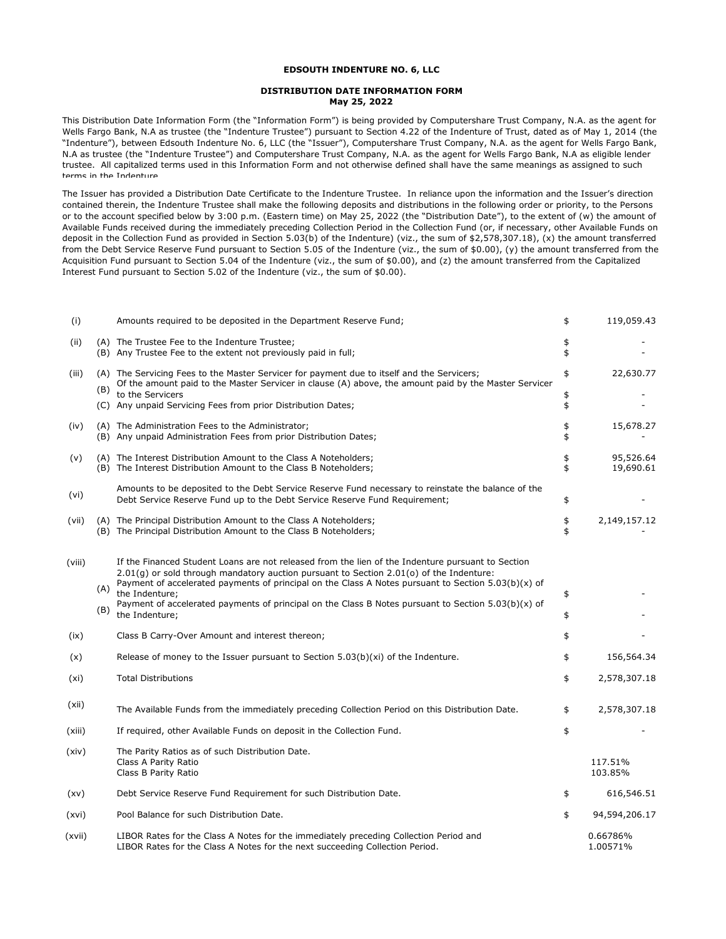## **EDSOUTH INDENTURE NO. 6, LLC**

## **DISTRIBUTION DATE INFORMATION FORM May 25, 2022**

This Distribution Date Information Form (the "Information Form") is being provided by Computershare Trust Company, N.A. as the agent for Wells Fargo Bank, N.A as trustee (the "Indenture Trustee") pursuant to Section 4.22 of the Indenture of Trust, dated as of May 1, 2014 (the "Indenture"), between Edsouth Indenture No. 6, LLC (the "Issuer"), Computershare Trust Company, N.A. as the agent for Wells Fargo Bank, N.A as trustee (the "Indenture Trustee") and Computershare Trust Company, N.A. as the agent for Wells Fargo Bank, N.A as eligible lender trustee. All capitalized terms used in this Information Form and not otherwise defined shall have the same meanings as assigned to such terms in the Indenture

The Issuer has provided a Distribution Date Certificate to the Indenture Trustee. In reliance upon the information and the Issuer's direction contained therein, the Indenture Trustee shall make the following deposits and distributions in the following order or priority, to the Persons or to the account specified below by 3:00 p.m. (Eastern time) on May 25, 2022 (the "Distribution Date"), to the extent of (w) the amount of Available Funds received during the immediately preceding Collection Period in the Collection Fund (or, if necessary, other Available Funds on deposit in the Collection Fund as provided in Section 5.03(b) of the Indenture) (viz., the sum of \$2,578,307.18), (x) the amount transferred from the Debt Service Reserve Fund pursuant to Section 5.05 of the Indenture (viz., the sum of \$0.00), (y) the amount transferred from the Acquisition Fund pursuant to Section 5.04 of the Indenture (viz., the sum of \$0.00), and (z) the amount transferred from the Capitalized Interest Fund pursuant to Section 5.02 of the Indenture (viz., the sum of \$0.00).

| (i)    |     | Amounts required to be deposited in the Department Reserve Fund;                                                                                                                                                                                                                                      | \$       | 119,059.43             |
|--------|-----|-------------------------------------------------------------------------------------------------------------------------------------------------------------------------------------------------------------------------------------------------------------------------------------------------------|----------|------------------------|
| (ii)   |     | (A) The Trustee Fee to the Indenture Trustee;<br>(B) Any Trustee Fee to the extent not previously paid in full;                                                                                                                                                                                       | \$<br>\$ |                        |
| (iii)  | (B) | (A) The Servicing Fees to the Master Servicer for payment due to itself and the Servicers;<br>Of the amount paid to the Master Servicer in clause (A) above, the amount paid by the Master Servicer<br>to the Servicers                                                                               | \$<br>\$ | 22,630.77              |
|        |     | (C) Any unpaid Servicing Fees from prior Distribution Dates;                                                                                                                                                                                                                                          | \$       |                        |
| (iv)   |     | (A) The Administration Fees to the Administrator;<br>(B) Any unpaid Administration Fees from prior Distribution Dates;                                                                                                                                                                                | \$<br>\$ | 15,678.27              |
| (v)    |     | (A) The Interest Distribution Amount to the Class A Noteholders;<br>(B) The Interest Distribution Amount to the Class B Noteholders;                                                                                                                                                                  | \$<br>\$ | 95,526.64<br>19,690.61 |
| (vi)   |     | Amounts to be deposited to the Debt Service Reserve Fund necessary to reinstate the balance of the<br>Debt Service Reserve Fund up to the Debt Service Reserve Fund Requirement;                                                                                                                      | \$       |                        |
| (vii)  |     | (A) The Principal Distribution Amount to the Class A Noteholders;<br>(B) The Principal Distribution Amount to the Class B Noteholders;                                                                                                                                                                | \$<br>\$ | 2,149,157.12           |
| (viii) | (A) | If the Financed Student Loans are not released from the lien of the Indenture pursuant to Section<br>$2.01(q)$ or sold through mandatory auction pursuant to Section 2.01(o) of the Indenture:<br>Payment of accelerated payments of principal on the Class A Notes pursuant to Section 5.03(b)(x) of |          |                        |
|        | (B) | the Indenture:<br>Payment of accelerated payments of principal on the Class B Notes pursuant to Section $5.03(b)(x)$ of<br>the Indenture;                                                                                                                                                             | \$<br>\$ |                        |
| (ix)   |     | Class B Carry-Over Amount and interest thereon;                                                                                                                                                                                                                                                       | \$       |                        |
| (x)    |     | Release of money to the Issuer pursuant to Section $5.03(b)(xi)$ of the Indenture.                                                                                                                                                                                                                    | \$       | 156,564.34             |
| (xi)   |     | <b>Total Distributions</b>                                                                                                                                                                                                                                                                            | \$       | 2,578,307.18           |
| (xii)  |     | The Available Funds from the immediately preceding Collection Period on this Distribution Date.                                                                                                                                                                                                       | \$       | 2,578,307.18           |
| (xiii) |     | If required, other Available Funds on deposit in the Collection Fund.                                                                                                                                                                                                                                 | \$       |                        |
| (xiv)  |     | The Parity Ratios as of such Distribution Date.<br>Class A Parity Ratio<br>Class B Parity Ratio                                                                                                                                                                                                       |          | 117.51%<br>103.85%     |
| (xv)   |     | Debt Service Reserve Fund Requirement for such Distribution Date.                                                                                                                                                                                                                                     | \$       | 616,546.51             |
| (xvi)  |     | Pool Balance for such Distribution Date.                                                                                                                                                                                                                                                              | \$       | 94,594,206.17          |
| (xvii) |     | LIBOR Rates for the Class A Notes for the immediately preceding Collection Period and<br>LIBOR Rates for the Class A Notes for the next succeeding Collection Period.                                                                                                                                 |          | 0.66786%<br>1.00571%   |